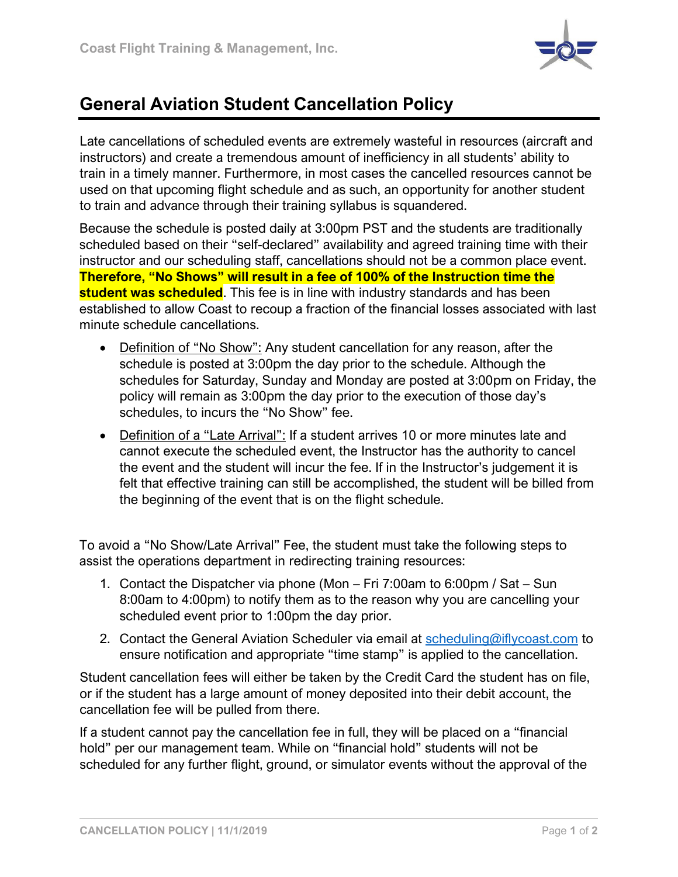

## **General Aviation Student Cancellation Policy**

Late cancellations of scheduled events are extremely wasteful in resources (aircraft and instructors) and create a tremendous amount of inefficiency in all students' ability to train in a timely manner. Furthermore, in most cases the cancelled resources cannot be used on that upcoming flight schedule and as such, an opportunity for another student to train and advance through their training syllabus is squandered.

Because the schedule is posted daily at 3:00pm PST and the students are traditionally scheduled based on their "self-declared" availability and agreed training time with their instructor and our scheduling staff, cancellations should not be a common place event. **Therefore, "No Shows" will result in a fee of 100% of the Instruction time the student was scheduled**. This fee is in line with industry standards and has been established to allow Coast to recoup a fraction of the financial losses associated with last minute schedule cancellations.

- Definition of "No Show": Any student cancellation for any reason, after the schedule is posted at 3:00pm the day prior to the schedule. Although the schedules for Saturday, Sunday and Monday are posted at 3:00pm on Friday, the policy will remain as 3:00pm the day prior to the execution of those day's schedules, to incurs the "No Show" fee.
- Definition of a "Late Arrival": If a student arrives 10 or more minutes late and cannot execute the scheduled event, the Instructor has the authority to cancel the event and the student will incur the fee. If in the Instructor's judgement it is felt that effective training can still be accomplished, the student will be billed from the beginning of the event that is on the flight schedule.

To avoid a "No Show/Late Arrival" Fee, the student must take the following steps to assist the operations department in redirecting training resources:

- 1. Contact the Dispatcher via phone (Mon Fri 7:00am to 6:00pm / Sat Sun 8:00am to 4:00pm) to notify them as to the reason why you are cancelling your scheduled event prior to 1:00pm the day prior.
- 2. Contact the General Aviation Scheduler via email at scheduling@iflycoast.com to ensure notification and appropriate "time stamp" is applied to the cancellation.

Student cancellation fees will either be taken by the Credit Card the student has on file, or if the student has a large amount of money deposited into their debit account, the cancellation fee will be pulled from there.

If a student cannot pay the cancellation fee in full, they will be placed on a "financial hold" per our management team. While on "financial hold" students will not be scheduled for any further flight, ground, or simulator events without the approval of the